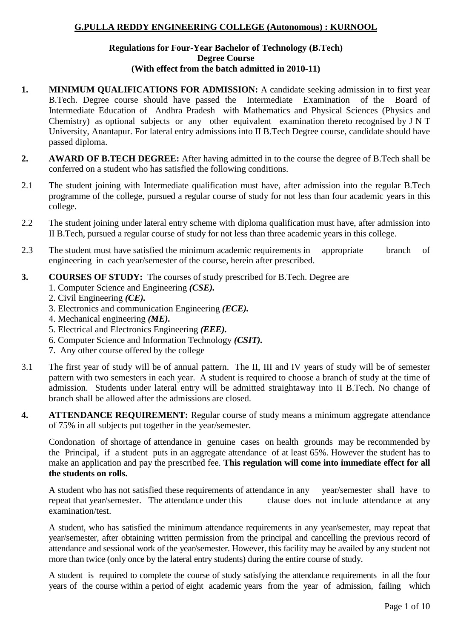#### **G.PULLA REDDY ENGINEERING COLLEGE (Autonomous) : KURNOOL**

#### **Regulations for Four-Year Bachelor of Technology (B.Tech) Degree Course (With effect from the batch admitted in 2010-11)**

- **1. MINIMUM QUALIFICATIONS FOR ADMISSION:** A candidate seeking admission in to first year B.Tech. Degree course should have passed the Intermediate Examination of the Board of Intermediate Education of Andhra Pradesh with Mathematics and Physical Sciences (Physics and Chemistry) as optional subjects or any other equivalent examination thereto recognised by J N T University, Anantapur. For lateral entry admissions into II B.Tech Degree course, candidate should have passed diploma.
- **2. AWARD OF B.TECH DEGREE:** After having admitted in to the course the degree of B.Tech shall be conferred on a student who has satisfied the following conditions.
- 2.1 The student joining with Intermediate qualification must have, after admission into the regular B.Tech programme of the college, pursued a regular course of study for not less than four academic years in this college.
- 2.2 The student joining under lateral entry scheme with diploma qualification must have, after admission into II B.Tech, pursued a regular course of study for not less than three academic years in this college.
- 2.3 The student must have satisfied the minimum academic requirements in appropriate branch of engineering in each year/semester of the course, herein after prescribed.
- **3. COURSES OF STUDY:** The courses of study prescribed for B.Tech. Degree are 1. Computer Science and Engineering *(CSE).*
	- 2. Civil Engineering *(CE).*
	- 3. Electronics and communication Engineering *(ECE).*
	- 4. Mechanical engineering *(ME).*
	- 5. Electrical and Electronics Engineering *(EEE).*
	- 6. Computer Science and Information Technology *(CSIT).*
	- 7. Any other course offered by the college
- 3.1 The first year of study will be of annual pattern. The II, III and IV years of study will be of semester pattern with two semesters in each year. A student is required to choose a branch of study at the time of admission. Students under lateral entry will be admitted straightaway into II B.Tech. No change of branch shall be allowed after the admissions are closed.
- **4. ATTENDANCE REQUIREMENT:** Regular course of study means a minimum aggregate attendance of 75% in all subjects put together in the year/semester.

Condonation of shortage of attendance in genuine cases on health grounds may be recommended by the Principal, if a student puts in an aggregate attendance of at least 65%. However the student has to make an application and pay the prescribed fee. **This regulation will come into immediate effect for all the students on rolls.**

A student who has not satisfied these requirements of attendance in any year/semester shall have to repeat that year/semester. The attendance under this clause does not include attendance at any examination/test.

A student, who has satisfied the minimum attendance requirements in any year/semester, may repeat that year/semester, after obtaining written permission from the principal and cancelling the previous record of attendance and sessional work of the year/semester. However, this facility may be availed by any student not more than twice (only once by the lateral entry students) during the entire course of study.

A student is required to complete the course of study satisfying the attendance requirements in all the four years of the course within a period of eight academic years from the year of admission, failing which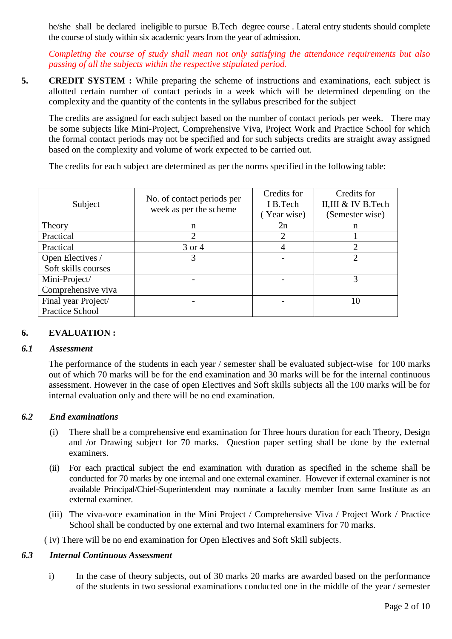he/she shall be declared ineligible to pursue B.Tech degree course . Lateral entry students should complete the course of study within six academic years from the year of admission.

*Completing the course of study shall mean not only satisfying the attendance requirements but also passing of all the subjects within the respective stipulated period.*

**5. CREDIT SYSTEM :** While preparing the scheme of instructions and examinations, each subject is allotted certain number of contact periods in a week which will be determined depending on the complexity and the quantity of the contents in the syllabus prescribed for the subject

The credits are assigned for each subject based on the number of contact periods per week. There may be some subjects like Mini-Project, Comprehensive Viva, Project Work and Practice School for which the formal contact periods may not be specified and for such subjects credits are straight away assigned based on the complexity and volume of work expected to be carried out.

The credits for each subject are determined as per the norms specified in the following table:

| Subject             | No. of contact periods per<br>week as per the scheme | Credits for<br>I B.Tech<br>Year wise) | Credits for<br>II,III & IV B.Tech<br>(Semester wise) |
|---------------------|------------------------------------------------------|---------------------------------------|------------------------------------------------------|
| Theory              | n                                                    | 2n                                    | n                                                    |
| Practical           |                                                      |                                       |                                                      |
| Practical           | 3 or 4                                               |                                       | 2                                                    |
| Open Electives /    | 3                                                    |                                       | $\overline{2}$                                       |
| Soft skills courses |                                                      |                                       |                                                      |
| Mini-Project/       |                                                      |                                       | 3                                                    |
| Comprehensive viva  |                                                      |                                       |                                                      |
| Final year Project/ |                                                      |                                       | 10                                                   |
| Practice School     |                                                      |                                       |                                                      |

# **6. EVALUATION :**

#### *6.1 Assessment*

The performance of the students in each year / semester shall be evaluated subject-wise for 100 marks out of which 70 marks will be for the end examination and 30 marks will be for the internal continuous assessment. However in the case of open Electives and Soft skills subjects all the 100 marks will be for internal evaluation only and there will be no end examination.

# *6.2 End examinations*

- (i) There shall be a comprehensive end examination for Three hours duration for each Theory, Design and /or Drawing subject for 70 marks. Question paper setting shall be done by the external examiners.
- (ii) For each practical subject the end examination with duration as specified in the scheme shall be conducted for 70 marks by one internal and one external examiner. However if external examiner is not available Principal/Chief-Superintendent may nominate a faculty member from same Institute as an external examiner.
- (iii) The viva-voce examination in the Mini Project / Comprehensive Viva / Project Work / Practice School shall be conducted by one external and two Internal examiners for 70 marks.

( iv) There will be no end examination for Open Electives and Soft Skill subjects.

#### *6.3 Internal Continuous Assessment*

i) In the case of theory subjects, out of 30 marks 20 marks are awarded based on the performance of the students in two sessional examinations conducted one in the middle of the year / semester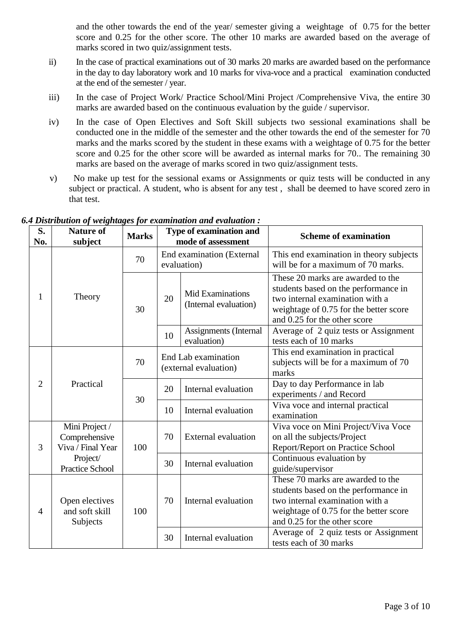and the other towards the end of the year/ semester giving a weightage of 0.75 for the better score and 0.25 for the other score. The other 10 marks are awarded based on the average of marks scored in two quiz/assignment tests.

- ii) In the case of practical examinations out of 30 marks 20 marks are awarded based on the performance in the day to day laboratory work and 10 marks for viva-voce and a practical examination conducted at the end of the semester / year.
- iii) In the case of Project Work/ Practice School/Mini Project /Comprehensive Viva, the entire 30 marks are awarded based on the continuous evaluation by the guide / supervisor.
- iv) In the case of Open Electives and Soft Skill subjects two sessional examinations shall be conducted one in the middle of the semester and the other towards the end of the semester for 70 marks and the marks scored by the student in these exams with a weightage of 0.75 for the better score and 0.25 for the other score will be awarded as internal marks for 70.. The remaining 30 marks are based on the average of marks scored in two quiz/assignment tests.
- v) No make up test for the sessional exams or Assignments or quiz tests will be conducted in any subject or practical. A student, who is absent for any test , shall be deemed to have scored zero in that test.

| S.<br>No.                   | <b>Nature of</b><br>subject                          | <b>Marks</b> | Type of examination and<br>mode of assessment |                                                           | <b>Scheme of examination</b>                                                                                                                                                           |
|-----------------------------|------------------------------------------------------|--------------|-----------------------------------------------|-----------------------------------------------------------|----------------------------------------------------------------------------------------------------------------------------------------------------------------------------------------|
|                             |                                                      | 70           | End examination (External<br>evaluation)      |                                                           | This end examination in theory subjects<br>will be for a maximum of 70 marks.                                                                                                          |
| 1                           | Theory                                               | 30           | 20                                            | Mid Examinations<br>(Internal evaluation)                 | These 20 marks are awarded to the<br>students based on the performance in<br>two internal examination with a<br>weightage of 0.75 for the better score<br>and 0.25 for the other score |
|                             |                                                      |              | 10                                            | <b>Assignments</b> (Internal<br>evaluation)               | Average of 2 quiz tests or Assignment<br>tests each of 10 marks                                                                                                                        |
|                             |                                                      | 70           | End Lab examination<br>(external evaluation)  |                                                           | This end examination in practical<br>subjects will be for a maximum of 70<br>marks                                                                                                     |
| Practical<br>$\overline{2}$ | 30                                                   | 20           | Internal evaluation                           | Day to day Performance in lab<br>experiments / and Record |                                                                                                                                                                                        |
|                             |                                                      |              | 10                                            | Internal evaluation                                       | Viva voce and internal practical<br>examination                                                                                                                                        |
| 3                           | Mini Project /<br>Comprehensive<br>Viva / Final Year | 100          | 70                                            | <b>External evaluation</b>                                | Viva voce on Mini Project/Viva Voce<br>on all the subjects/Project<br>Report/Report on Practice School                                                                                 |
|                             | Project/<br><b>Practice School</b>                   |              | 30                                            | Internal evaluation                                       | Continuous evaluation by<br>guide/supervisor                                                                                                                                           |
| $\overline{4}$              | Open electives<br>and soft skill<br>Subjects         | 100          | 70                                            | Internal evaluation                                       | These 70 marks are awarded to the<br>students based on the performance in<br>two internal examination with a<br>weightage of 0.75 for the better score<br>and 0.25 for the other score |
|                             |                                                      |              | 30                                            | Internal evaluation                                       | Average of 2 quiz tests or Assignment<br>tests each of 30 marks                                                                                                                        |

*6.4 Distribution of weightages for examination and evaluation :*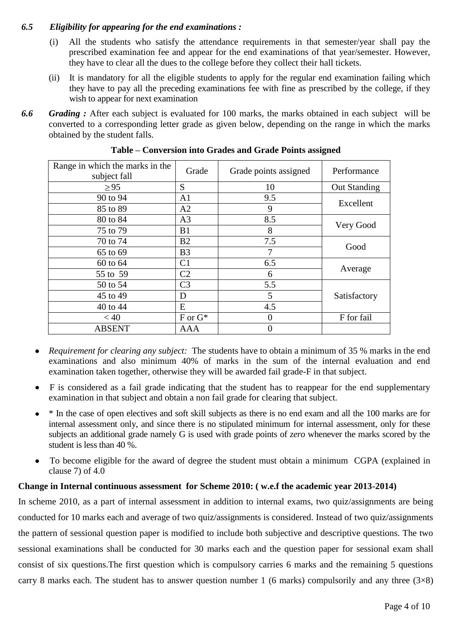# *6.5 Eligibility for appearing for the end examinations :*

- (i) All the students who satisfy the attendance requirements in that semester/year shall pay the prescribed examination fee and appear for the end examinations of that year/semester. However, they have to clear all the dues to the college before they collect their hall tickets.
- (ii) It is mandatory for all the eligible students to apply for the regular end examination failing which they have to pay all the preceding examinations fee with fine as prescribed by the college, if they wish to appear for next examination
- *6.6 Grading :* After each subject is evaluated for 100 marks, the marks obtained in each subject will be converted to a corresponding letter grade as given below, depending on the range in which the marks obtained by the student falls.

| Range in which the marks in the<br>subject fall | Grade          | Grade points assigned | Performance         |
|-------------------------------------------------|----------------|-----------------------|---------------------|
| $\geq$ 95                                       | S              | 10                    | <b>Out Standing</b> |
| 90 to 94                                        | A <sub>1</sub> | 9.5                   | Excellent           |
| 85 to 89                                        | A2             | 9                     |                     |
| 80 to 84                                        | A <sub>3</sub> | 8.5                   |                     |
| 75 to 79                                        | B1             | 8                     | Very Good           |
| 70 to 74                                        | B2             | 7.5                   |                     |
| 65 to 69                                        | B <sub>3</sub> | 7                     | Good                |
| 60 to 64                                        | C <sub>1</sub> | 6.5                   |                     |
| 55 to 59                                        | C <sub>2</sub> | 6                     | Average             |
| 50 to 54                                        | C <sub>3</sub> | 5.5                   |                     |
| 45 to 49                                        | D              | 5                     | Satisfactory        |
| 40 to 44                                        | E              | 4.5                   |                     |
| < 40                                            | $F$ or $G^*$   | $\theta$              | F for fail          |
| <b>ABSENT</b>                                   | <b>AAA</b>     | $\overline{0}$        |                     |

**Table – Conversion into Grades and Grade Points assigned**

- *Requirement for clearing any subject:* The students have to obtain a minimum of 35 % marks in the end  $\bullet$ examinations and also minimum 40% of marks in the sum of the internal evaluation and end examination taken together, otherwise they will be awarded fail grade-F in that subject.
- F is considered as a fail grade indicating that the student has to reappear for the end supplementary  $\bullet$ examination in that subject and obtain a non fail grade for clearing that subject.
- \* In the case of open electives and soft skill subjects as there is no end exam and all the 100 marks are for internal assessment only, and since there is no stipulated minimum for internal assessment, only for these subjects an additional grade namely G is used with grade points of *zero* whenever the marks scored by the student is less than 40 %.
- To become eligible for the award of degree the student must obtain a minimum CGPA (explained in clause 7) of 4.0

# **Change in Internal continuous assessment for Scheme 2010: ( w.e.f the academic year 2013-2014)**

In scheme 2010, as a part of internal assessment in addition to internal exams, two quiz/assignments are being conducted for 10 marks each and average of two quiz/assignments is considered. Instead of two quiz/assignments the pattern of sessional question paper is modified to include both subjective and descriptive questions. The two sessional examinations shall be conducted for 30 marks each and the question paper for sessional exam shall consist of six questions.The first question which is compulsory carries 6 marks and the remaining 5 questions carry 8 marks each. The student has to answer question number 1 (6 marks) compulsorily and any three  $(3\times8)$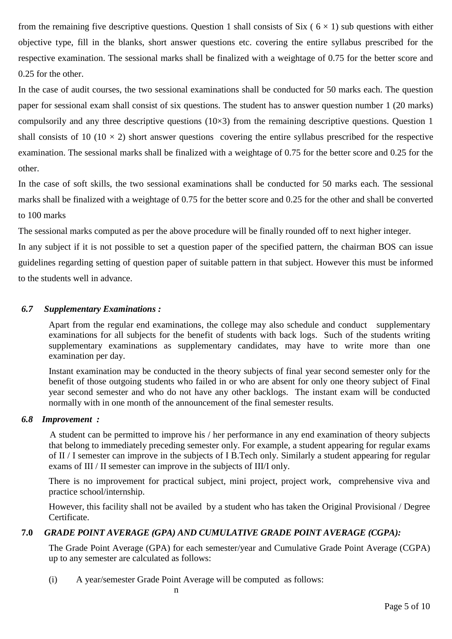from the remaining five descriptive questions. Question 1 shall consists of Six ( $6 \times 1$ ) sub questions with either objective type, fill in the blanks, short answer questions etc. covering the entire syllabus prescribed for the respective examination. The sessional marks shall be finalized with a weightage of 0.75 for the better score and 0.25 for the other.

In the case of audit courses, the two sessional examinations shall be conducted for 50 marks each. The question paper for sessional exam shall consist of six questions. The student has to answer question number 1 (20 marks) compulsorily and any three descriptive questions  $(10\times3)$  from the remaining descriptive questions. Question 1 shall consists of 10 (10  $\times$  2) short answer questions covering the entire syllabus prescribed for the respective examination. The sessional marks shall be finalized with a weightage of 0.75 for the better score and 0.25 for the other.

In the case of soft skills, the two sessional examinations shall be conducted for 50 marks each. The sessional marks shall be finalized with a weightage of 0.75 for the better score and 0.25 for the other and shall be converted to 100 marks

The sessional marks computed as per the above procedure will be finally rounded off to next higher integer.

In any subject if it is not possible to set a question paper of the specified pattern, the chairman BOS can issue guidelines regarding setting of question paper of suitable pattern in that subject. However this must be informed to the students well in advance.

# *6.7 Supplementary Examinations :*

Apart from the regular end examinations, the college may also schedule and conduct supplementary examinations for all subjects for the benefit of students with back logs. Such of the students writing supplementary examinations as supplementary candidates, may have to write more than one examination per day.

Instant examination may be conducted in the theory subjects of final year second semester only for the benefit of those outgoing students who failed in or who are absent for only one theory subject of Final year second semester and who do not have any other backlogs. The instant exam will be conducted normally with in one month of the announcement of the final semester results.

# *6.8 Improvement :*

A student can be permitted to improve his / her performance in any end examination of theory subjects that belong to immediately preceding semester only. For example, a student appearing for regular exams of II / I semester can improve in the subjects of I B.Tech only. Similarly a student appearing for regular exams of III / II semester can improve in the subjects of III/I only.

There is no improvement for practical subject, mini project, project work, comprehensive viva and practice school/internship.

However, this facility shall not be availed by a student who has taken the Original Provisional / Degree Certificate.

# **7.0** *GRADE POINT AVERAGE (GPA) AND CUMULATIVE GRADE POINT AVERAGE (CGPA):*

The Grade Point Average (GPA) for each semester/year and Cumulative Grade Point Average (CGPA) up to any semester are calculated as follows:

(i) A year/semester Grade Point Average will be computed as follows: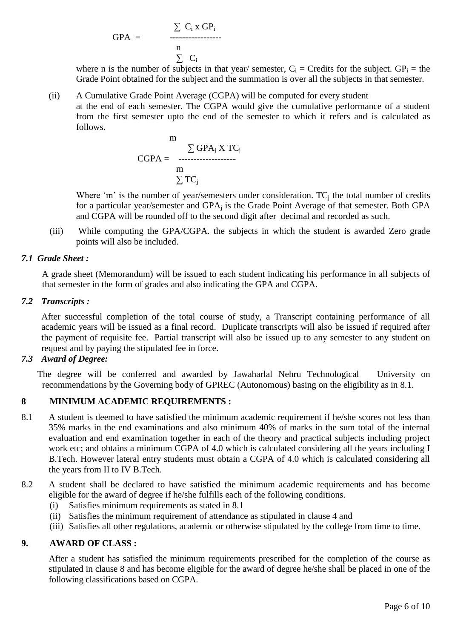$$
GPA = \frac{\sum C_i x GP_i}{n}
$$
  

$$
\sum C_i
$$

where n is the number of subjects in that year/ semester,  $C_i$  = Credits for the subject.  $GP_i$  = the Grade Point obtained for the subject and the summation is over all the subjects in that semester.

(ii) A Cumulative Grade Point Average (CGPA) will be computed for every student at the end of each semester. The CGPA would give the cumulative performance of a student from the first semester upto the end of the semester to which it refers and is calculated as follows.

$$
m \sum_{\text{CGPA}} \text{GPA}_j \text{X TC}_j
$$
\n
$$
m \sum_{\text{m}} \text{TC}_j
$$

Where 'm' is the number of year/semesters under consideration. TC<sub>i</sub> the total number of credits for a particular year/semester and GPA<sub>i</sub> is the Grade Point Average of that semester. Both GPA and CGPA will be rounded off to the second digit after decimal and recorded as such.

(iii) While computing the GPA/CGPA. the subjects in which the student is awarded Zero grade points will also be included.

# *7.1 Grade Sheet :*

 A grade sheet (Memorandum) will be issued to each student indicating his performance in all subjects of that semester in the form of grades and also indicating the GPA and CGPA.

# *7.2 Transcripts :*

After successful completion of the total course of study, a Transcript containing performance of all academic years will be issued as a final record. Duplicate transcripts will also be issued if required after the payment of requisite fee. Partial transcript will also be issued up to any semester to any student on request and by paying the stipulated fee in force.

# *7.3 Award of Degree:*

The degree will be conferred and awarded by Jawaharlal Nehru Technological University on recommendations by the Governing body of GPREC (Autonomous) basing on the eligibility as in 8.1.

# **8 MINIMUM ACADEMIC REQUIREMENTS :**

- 8.1 A student is deemed to have satisfied the minimum academic requirement if he/she scores not less than 35% marks in the end examinations and also minimum 40% of marks in the sum total of the internal evaluation and end examination together in each of the theory and practical subjects including project work etc; and obtains a minimum CGPA of 4.0 which is calculated considering all the years including I B.Tech. However lateral entry students must obtain a CGPA of 4.0 which is calculated considering all the years from II to IV B.Tech.
- 8.2 A student shall be declared to have satisfied the minimum academic requirements and has become eligible for the award of degree if he/she fulfills each of the following conditions.
	- (i) Satisfies minimum requirements as stated in 8.1
	- (ii) Satisfies the minimum requirement of attendance as stipulated in clause 4 and
	- (iii) Satisfies all other regulations, academic or otherwise stipulated by the college from time to time.

# **9. AWARD OF CLASS :**

After a student has satisfied the minimum requirements prescribed for the completion of the course as stipulated in clause 8 and has become eligible for the award of degree he/she shall be placed in one of the following classifications based on CGPA.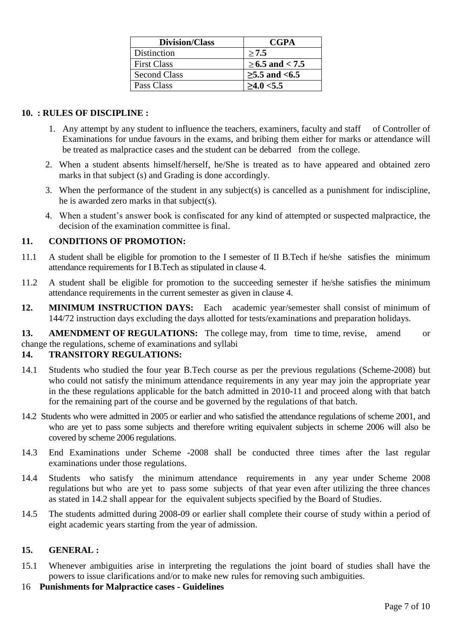| <b>Division/Class</b> | <b>CGPA</b>     |
|-----------------------|-----------------|
| Distinction           | >7.5            |
| <b>First Class</b>    | ≥6.5 and < 7.5  |
| <b>Second Class</b>   | $≥5.5$ and <6.5 |
| Pass Class            | >4.0 < 5.5      |

# **10. : RULES OF DISCIPLINE :**

- 1. Any attempt by any student to influence the teachers, examiners, faculty and staff of Controller of Examinations for undue favours in the exams, and bribing them either for marks or attendance will be treated as malpractice cases and the student can be debarred from the college.
- 2. When a student absents himself/herself, he/She is treated as to have appeared and obtained zero marks in that subject (s) and Grading is done accordingly.
- 3. When the performance of the student in any subject(s) is cancelled as a punishment for indiscipline, he is awarded zero marks in that subject(s).
- 4. When a student's answer book is confiscated for any kind of attempted or suspected malpractice, the decision of the examination committee is final.

#### **11. CONDITIONS OF PROMOTION:**

- 11.1 A student shall be eligible for promotion to the I semester of II B.Tech if he/she satisfies the minimum attendance requirements for I B.Tech as stipulated in clause 4.
- 11.2 A student shall be eligible for promotion to the succeeding semester if he/she satisfies the minimum attendance requirements in the current semester as given in clause 4.
- **12. MINIMUM INSTRUCTION DAYS:** Each academic year/semester shall consist of minimum of 144/72 instruction days excluding the days allotted for tests/examinations and preparation holidays.
- **13. AMENDMENT OF REGULATIONS:** The college may, from time to time, revise, amend or

# change the regulations, scheme of examinations and syllabi

# **14. TRANSITORY REGULATIONS:**

- 14.1 Students who studied the four year B.Tech course as per the previous regulations (Scheme-2008) but who could not satisfy the minimum attendance requirements in any year may join the appropriate year in the these regulations applicable for the batch admitted in 2010-11 and proceed along with that batch for the remaining part of the course and be governed by the regulations of that batch.
- 14.2 Students who were admitted in 2005 or earlier and who satisfied the attendance regulations of scheme 2001, and who are yet to pass some subjects and therefore writing equivalent subjects in scheme 2006 will also be covered by scheme 2006 regulations.
- 14.3 End Examinations under Scheme -2008 shall be conducted three times after the last regular examinations under those regulations.
- 14.4 Students who satisfy the minimum attendance requirements in any year under Scheme 2008 regulations but who are yet to pass some subjects of that year even after utilizing the three chances as stated in 14.2 shall appear for the equivalent subjects specified by the Board of Studies.
- 14.5 The students admitted during 2008-09 or earlier shall complete their course of study within a period of eight academic years starting from the year of admission.

#### **15. GENERAL :**

- 15.1 Whenever ambiguities arise in interpreting the regulations the joint board of studies shall have the powers to issue clarifications and/or to make new rules for removing such ambiguities.
- 16 **Punishments for Malpractice cases - Guidelines**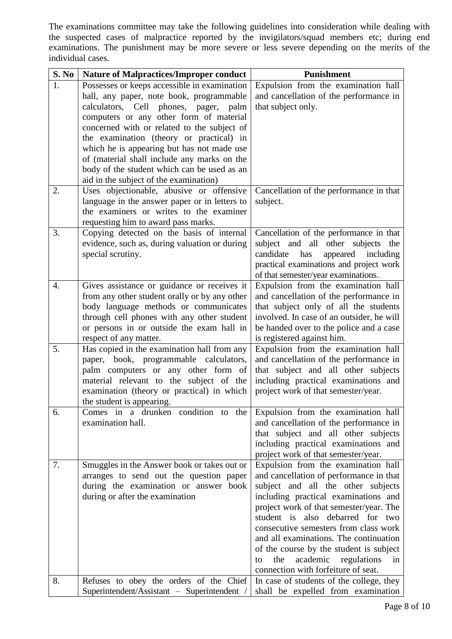The examinations committee may take the following guidelines into consideration while dealing with the suspected cases of malpractice reported by the invigilators/squad members etc; during end examinations. The punishment may be more severe or less severe depending on the merits of the individual cases.

| S. No            | <b>Nature of Malpractices/Improper conduct</b>                                            | <b>Punishment</b>                                                                     |
|------------------|-------------------------------------------------------------------------------------------|---------------------------------------------------------------------------------------|
| 1.               | Possesses or keeps accessible in examination                                              | Expulsion from the examination hall                                                   |
|                  | hall, any paper, note book, programmable                                                  | and cancellation of the performance in                                                |
|                  | calculators, Cell phones, pager,<br>palm                                                  | that subject only.                                                                    |
|                  | computers or any other form of material                                                   |                                                                                       |
|                  | concerned with or related to the subject of                                               |                                                                                       |
|                  | the examination (theory or practical) in                                                  |                                                                                       |
|                  | which he is appearing but has not made use                                                |                                                                                       |
|                  | of (material shall include any marks on the                                               |                                                                                       |
|                  | body of the student which can be used as an                                               |                                                                                       |
| 2.               | aid in the subject of the examination)                                                    |                                                                                       |
|                  | Uses objectionable, abusive or offensive<br>language in the answer paper or in letters to | Cancellation of the performance in that<br>subject.                                   |
|                  | the examiners or writes to the examiner                                                   |                                                                                       |
|                  | requesting him to award pass marks.                                                       |                                                                                       |
| 3.               | Copying detected on the basis of internal                                                 | Cancellation of the performance in that                                               |
|                  | evidence, such as, during valuation or during                                             | subject and all other subjects the                                                    |
|                  | special scrutiny.                                                                         | candidate<br>has<br>appeared including                                                |
|                  |                                                                                           | practical examinations and project work                                               |
|                  |                                                                                           | of that semester/year examinations.                                                   |
| $\overline{4}$ . | Gives assistance or guidance or receives it                                               | Expulsion from the examination hall                                                   |
|                  | from any other student orally or by any other                                             | and cancellation of the performance in                                                |
|                  | body language methods or communicates                                                     | that subject only of all the students                                                 |
|                  | through cell phones with any other student                                                | involved. In case of an outsider, he will                                             |
|                  | or persons in or outside the exam hall in                                                 | be handed over to the police and a case                                               |
|                  | respect of any matter.                                                                    | is registered against him.                                                            |
| 5.               | Has copied in the examination hall from any                                               | Expulsion from the examination hall                                                   |
|                  | paper, book, programmable calculators,                                                    | and cancellation of the performance in                                                |
|                  | palm computers or any other form of                                                       | that subject and all other subjects                                                   |
|                  | material relevant to the subject of the<br>examination (theory or practical) in which     | including practical examinations and<br>project work of that semester/year.           |
|                  | the student is appearing.                                                                 |                                                                                       |
| 6.               | Comes in a drunken condition to the                                                       | Expulsion from the examination hall                                                   |
|                  | examination hall.                                                                         | and cancellation of the performance in                                                |
|                  |                                                                                           | that subject and all other subjects                                                   |
|                  |                                                                                           | including practical examinations and                                                  |
|                  |                                                                                           | project work of that semester/year.                                                   |
| 7.               | Smuggles in the Answer book or takes out or                                               | Expulsion from the examination hall                                                   |
|                  | arranges to send out the question paper                                                   | and cancellation of performance in that                                               |
|                  | during the examination or answer book                                                     | subject and all the other subjects                                                    |
|                  | during or after the examination                                                           | including practical examinations and                                                  |
|                  |                                                                                           | project work of that semester/year. The                                               |
|                  |                                                                                           | student is also debarred for two                                                      |
|                  |                                                                                           | consecutive semesters from class work                                                 |
|                  |                                                                                           | and all examinations. The continuation                                                |
|                  |                                                                                           | of the course by the student is subject<br>the<br>academic<br>regulations<br>in<br>to |
|                  |                                                                                           | connection with forfeiture of seat.                                                   |
| 8.               | Refuses to obey the orders of the Chief                                                   | In case of students of the college, they                                              |
|                  | Superintendent/Assistant - Superintendent /                                               | shall be expelled from examination                                                    |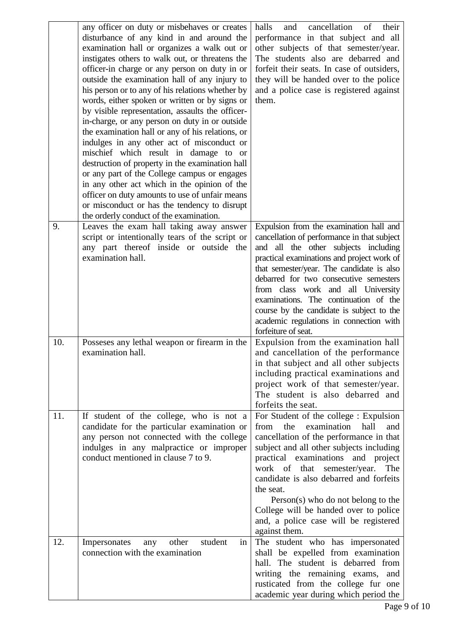|     | any officer on duty or misbehaves or creates<br>disturbance of any kind in and around the<br>examination hall or organizes a walk out or<br>instigates others to walk out, or threatens the<br>officer-in charge or any person on duty in or<br>outside the examination hall of any injury to<br>his person or to any of his relations whether by<br>words, either spoken or written or by signs or<br>by visible representation, assaults the officer-<br>in-charge, or any person on duty in or outside<br>the examination hall or any of his relations, or<br>indulges in any other act of misconduct or<br>mischief which result in damage to or<br>destruction of property in the examination hall<br>or any part of the College campus or engages<br>in any other act which in the opinion of the<br>officer on duty amounts to use of unfair means<br>or misconduct or has the tendency to disrupt<br>the orderly conduct of the examination. | cancellation<br>halls<br>of<br>and<br>their<br>performance in that subject and all<br>other subjects of that semester/year.<br>The students also are debarred and<br>forfeit their seats. In case of outsiders,<br>they will be handed over to the police<br>and a police case is registered against<br>them.                                                                                                                                                     |
|-----|------------------------------------------------------------------------------------------------------------------------------------------------------------------------------------------------------------------------------------------------------------------------------------------------------------------------------------------------------------------------------------------------------------------------------------------------------------------------------------------------------------------------------------------------------------------------------------------------------------------------------------------------------------------------------------------------------------------------------------------------------------------------------------------------------------------------------------------------------------------------------------------------------------------------------------------------------|-------------------------------------------------------------------------------------------------------------------------------------------------------------------------------------------------------------------------------------------------------------------------------------------------------------------------------------------------------------------------------------------------------------------------------------------------------------------|
| 9.  | Leaves the exam hall taking away answer<br>script or intentionally tears of the script or<br>any part thereof inside or outside the<br>examination hall.                                                                                                                                                                                                                                                                                                                                                                                                                                                                                                                                                                                                                                                                                                                                                                                             | Expulsion from the examination hall and<br>cancellation of performance in that subject<br>and all the other subjects including<br>practical examinations and project work of<br>that semester/year. The candidate is also<br>debarred for two consecutive semesters<br>from class work and all University<br>examinations. The continuation of the<br>course by the candidate is subject to the<br>academic regulations in connection with<br>forfeiture of seat. |
| 10. | Possesses any lethal weapon or firearm in the<br>examination hall.                                                                                                                                                                                                                                                                                                                                                                                                                                                                                                                                                                                                                                                                                                                                                                                                                                                                                   | Expulsion from the examination hall<br>and cancellation of the performance<br>in that subject and all other subjects<br>including practical examinations and<br>project work of that semester/year.<br>The student is also debarred and<br>forfeits the seat.                                                                                                                                                                                                     |
| 11. | If student of the college, who is not a<br>candidate for the particular examination or<br>any person not connected with the college<br>indulges in any malpractice or improper<br>conduct mentioned in clause 7 to 9.                                                                                                                                                                                                                                                                                                                                                                                                                                                                                                                                                                                                                                                                                                                                | For Student of the college : Expulsion<br>from<br>examination<br>hall<br>the<br>and<br>cancellation of the performance in that<br>subject and all other subjects including<br>practical examinations and project<br>work of that<br>semester/year.<br>The<br>candidate is also debarred and forfeits<br>the seat.<br>$Person(s)$ who do not belong to the<br>College will be handed over to police<br>and, a police case will be registered<br>against them.      |
| 12. | student<br>Impersonates<br>other<br>any<br>in<br>connection with the examination                                                                                                                                                                                                                                                                                                                                                                                                                                                                                                                                                                                                                                                                                                                                                                                                                                                                     | The student who has impersonated<br>shall be expelled from examination<br>hall. The student is debarred from<br>writing the remaining exams,<br>and<br>rusticated from the college fur one<br>academic year during which period the                                                                                                                                                                                                                               |